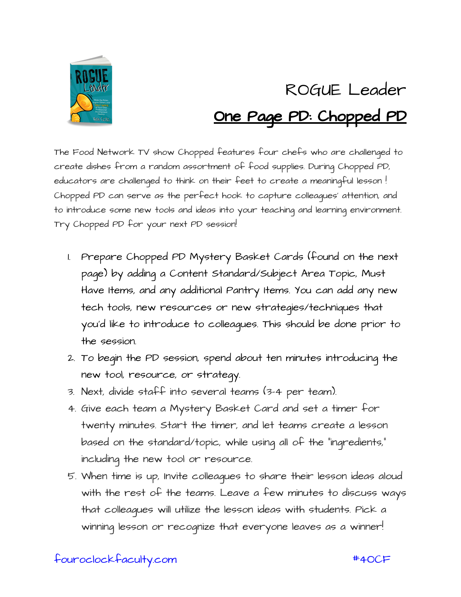

## ROGUE Leader One Page PD: Chopped PD

The Food Network TV show Chopped features four chefs who are challenged to create dishes from a random assortment of food supplies. During Chopped PD, educators are challenged to think on their feet to create a meaningful lesson ! Chopped PD can serve as the perfect hook to capture colleagues' attention, and to introduce some new tools and ideas into your teaching and learning environment. Try Chopped PD for your next PD session!

- 1. Prepare Chopped PD Mystery Basket Cards (found on the next page) by adding a Content Standard/Subject Area Topic, Must Have Items, and any additional Pantry Items. You can add any new tech tools, new resources or new strategies/techniques that you'd like to introduce to colleagues. This should be done prior to the session.
- 2. To begin the PD session, spend about ten minutes introducing the new tool, resource, or strategy.
- 3. Next, divide staff into several teams (3-4 per team).
- 4. Give each team a Mystery Basket Card and set a timer for twenty minutes. Start the timer, and let teams create a lesson based on the standard/topic, while using all of the "ingredients," including the new tool or resource.
- 5. When time is up, Invite colleagues to share their lesson ideas aloud with the rest of the teams. Leave a few minutes to discuss ways that colleagues will utilize the lesson ideas with students. Pick a winning lesson or recognize that everyone leaves as a winner!